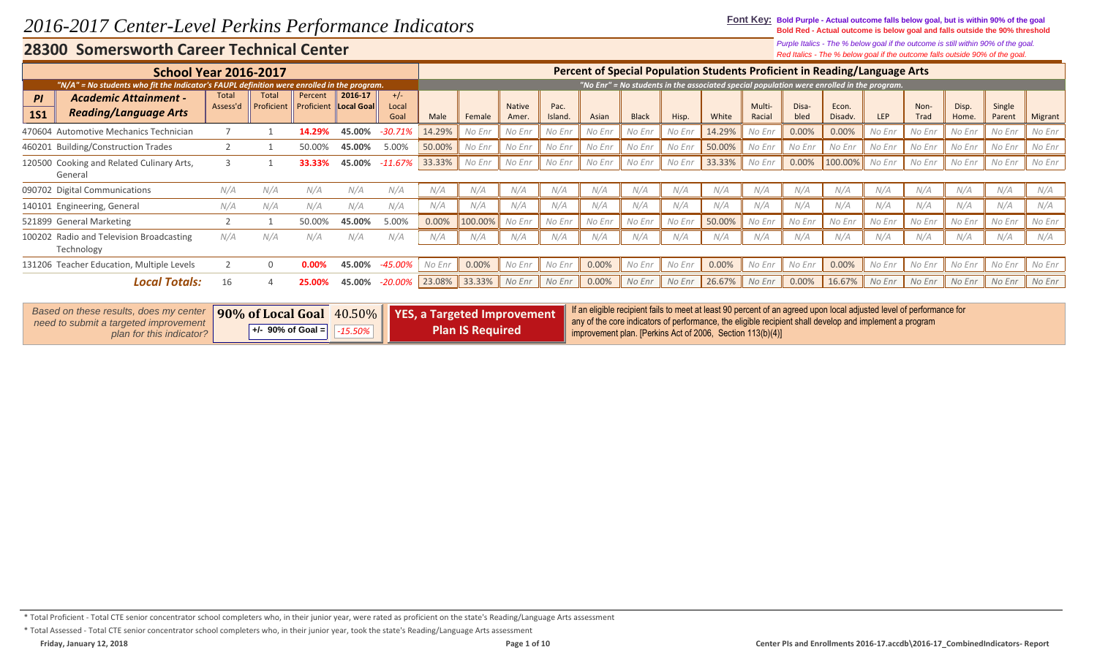**Font Key: Bold Purple - Actual outcome falls below goal, but is within 90% of the goal Bold Red - Actual outcome is below goal and falls outside the 90% threshold**

> *Red Italics - The % below goal if the outcome falls outside 90% of the goal. Purple Italics - The % below goal if the outcome is still within 90% of the goal.*

|                                                                                            | <b>School Year 2016-2017</b> |                            |                       |                       |                        |        |         |                        |                       |        |              |        |        |                  |               | Percent of Special Population Students Proficient in Reading/Language Arts                |            |              |                |                  |         |
|--------------------------------------------------------------------------------------------|------------------------------|----------------------------|-----------------------|-----------------------|------------------------|--------|---------|------------------------|-----------------------|--------|--------------|--------|--------|------------------|---------------|-------------------------------------------------------------------------------------------|------------|--------------|----------------|------------------|---------|
| "N/A" = No students who fit the Indicator's FAUPL definition were enrolled in the program. |                              |                            |                       |                       |                        |        |         |                        |                       |        |              |        |        |                  |               | "No Enr" = No students in the associated special population were enrolled in the program. |            |              |                |                  |         |
| <b>Academic Attainment -</b><br>PI<br><b>Reading/Language Arts</b><br><b>1S1</b>           | Total<br>Assess'd            | <b>Total</b><br>Proficient | Percent<br>Proficient | 2016-17<br>Local Goal | $+/-$<br>Local<br>Goal | Male   | Female  | <b>Native</b><br>Amer. | Pac.<br><b>Island</b> | Asian  | <b>Black</b> | Hisp.  | White  | Multi-<br>Racial | Disa-<br>bled | Econ.<br>Disadv.                                                                          | <b>LEP</b> | Non-<br>Trad | Disp.<br>Home. | Single<br>Parent | Migrant |
| 470604 Automotive Mechanics Technician                                                     |                              |                            | 14.29%                | 45.00%                | $-30.71%$              | 14.29% | No Enr  | No Enr                 | No Enr                | No Enr | No Enr       | No Enr | 14.29% | No Enr           | 0.00%         | 0.00%                                                                                     | No Enr     | No Enr       | No Enr         | No Enr           | No Enr  |
| 460201 Building/Construction Trades                                                        |                              |                            | 50.00%                | 45.00%                | 5.00%                  | 50.00% | No Enr  | No Enr                 | No Enr                | No Enr | No Enr       | No Enr | 50.00% | No Enr           | No Enr        | No Enr                                                                                    | No Enr     | No Enr       | No Enr         | No Enr           | No Enr  |
| 120500 Cooking and Related Culinary Arts,<br>General                                       |                              |                            | 33.33%                | 45.00%                | $-11.67\%$             | 33.33% | No Enr  | No Enr                 | No Enr                | No Enr | No Enr       | No Enr | 33.33% | No Enr           | 0.00%         | 100.00%                                                                                   | No Enr     | No Enr       | No Enr         | No Enr           | No Enr  |
| 090702 Digital Communications                                                              | N/A                          | N/A                        | N/A                   | N/A                   | N/A                    | N/A    | N/A     | N/A                    | N/A                   | N/A    | N/A          | N/A    | N/A    | N/A              | N/A           | N/A                                                                                       | N/A        | N/A          | N/A            | N/A              | N/A     |
| 140101 Engineering, General                                                                | N/A                          | N/A                        | N/A                   | N/A                   | N/A                    | N/A    | N/A     | N/A                    | N/A                   | N/A    | N/A          | N/A    | N/A    | N/A              | N/A           | N/A                                                                                       | N/A        | N/A          | N/A            | N/A              | N/A     |
| 521899 General Marketing                                                                   |                              |                            | 50.00%                | 45.00%                | 5.00%                  | 0.00%  | 100.00% | No Enr                 | No Enr                | No Enr | No Enr       | No Enr | 50.00% | No Enr           | No Enr        | No Enr                                                                                    | No Enr     | No Enr       | No Enr         | No Enr           | No Enr  |
| Radio and Television Broadcasting<br>100202<br>Technology                                  | N/A                          | N/A                        | N/A                   | N/A                   | N/A                    | N/A    | N/A     | N/A                    | N/A                   | N/A    | N/A          | N/A    | N/A    | N/A              | N/A           | N/A                                                                                       | N/A        | N/A          | N/A            | N/A              | N/A     |
| 131206 Teacher Education, Multiple Levels                                                  |                              | $\Omega$                   | 0.00%                 | 45.00%                | $-45.00%$              | No Enr | 0.00%   | No Enr                 | No Enr                | 0.00%  | No Enr       | No Enr | 0.00%  | No Enr           | No Enr        | 0.00%                                                                                     | No Enr     | No Enr       | No Enr         | No Enr           | No Enr  |
| Local Totals:                                                                              | 16                           |                            | 25.00%                | 45.00%                | -20.00%                | 23.08% | 33.33%  | No Enr                 | No Enr                | 0.00%  | No Enr       | No Enr | 26.67% | No Enr           | 0.00%         | 16.67%                                                                                    | No Enr     | No Enr       | No Enr         | No Enr           | No Enr  |

| Based on these results, does my center                            |                                           | <b>90% of Local Goal</b> 40.50% <b>P</b> YES, a Targeted Improvement | If an eligible recipient fails to meet at least 90 percent of an agreed upon local adjusted level of performance for<br>any of the core indicators of performance, the eligible recipient shall develop and implement a program |
|-------------------------------------------------------------------|-------------------------------------------|----------------------------------------------------------------------|---------------------------------------------------------------------------------------------------------------------------------------------------------------------------------------------------------------------------------|
| need to submit a targeted improvement<br>plan for this indicator? | $\parallel$ +/- 90% of Goal = $\parallel$ | <b>Plan IS Required</b>                                              | improvement plan. [Perkins Act of 2006, Section 113(b)(4)]                                                                                                                                                                      |

\* Total Proficient - Total CTE senior concentrator school completers who, in their junior year, were rated as proficient on the state's Reading/Language Arts assessment

<sup>\*</sup> Total Assessed - Total CTE senior concentrator school completers who, in their junior year, took the state's Reading/Language Arts assessment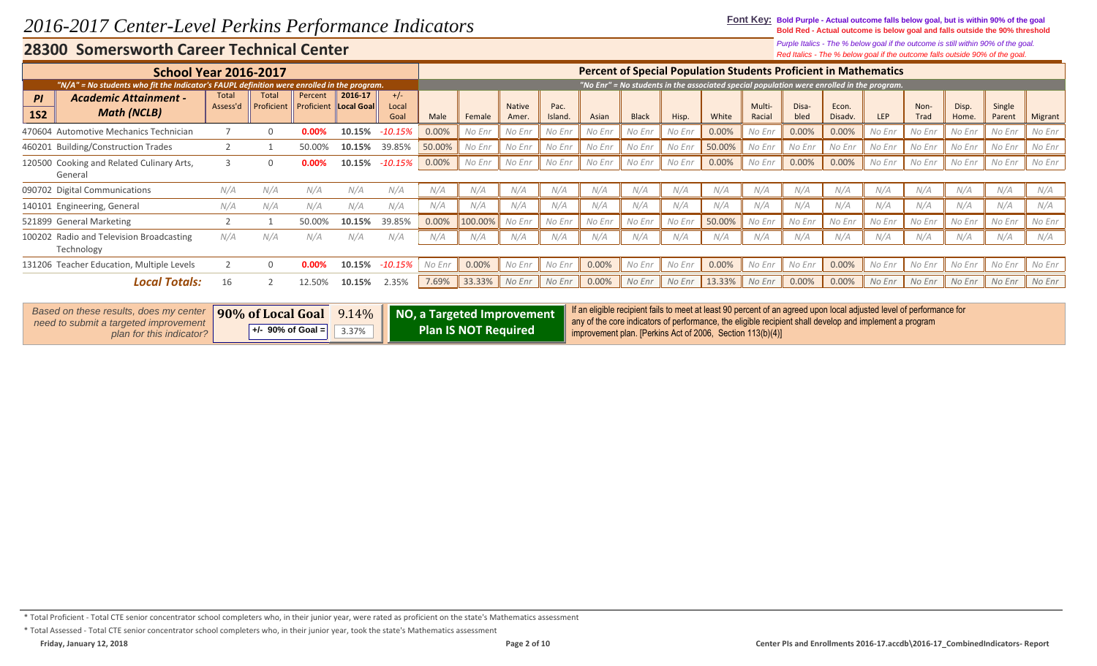**Font Key: Bold Purple - Actual outcome falls below goal, but is within 90% of the goal Bold Red - Actual outcome is below goal and falls outside the 90% threshold**

> *Red Italics - The % below goal if the outcome falls outside 90% of the goal. Purple Italics - The % below goal if the outcome is still within 90% of the goal.*

| <b>School Year 2016-2017</b>                                                               |                          |                     |                       |                       |                        |        |         |                        |                 |        |              |        | <b>Percent of Special Population Students Proficient in Mathematics</b>                   |                  |               |                  |            |                     |                |                  |         |
|--------------------------------------------------------------------------------------------|--------------------------|---------------------|-----------------------|-----------------------|------------------------|--------|---------|------------------------|-----------------|--------|--------------|--------|-------------------------------------------------------------------------------------------|------------------|---------------|------------------|------------|---------------------|----------------|------------------|---------|
| "N/A" = No students who fit the Indicator's FAUPL definition were enrolled in the program. |                          |                     |                       |                       |                        |        |         |                        |                 |        |              |        | "No Enr" = No students in the associated special population were enrolled in the program. |                  |               |                  |            |                     |                |                  |         |
| <b>Academic Attainment -</b><br>PI<br><b>Math (NCLB)</b><br><b>1S2</b>                     | <b>Total</b><br>Assess'd | Total<br>Proficient | Percent<br>Proficient | 2016 17<br>Local Goal | $+/-$<br>Local<br>Goal | Male   | Female  | <b>Native</b><br>Amer. | Pac.<br>Island. | Asian  | <b>Black</b> | Hisp.  | White                                                                                     | Multi-<br>Racial | Disa-<br>bled | Econ.<br>Disadv. | <b>LEP</b> | Non-<br><b>Trad</b> | Disp.<br>Home. | Single<br>Parent | Migrant |
| 470604 Automotive Mechanics Technician                                                     |                          |                     | 0.00%                 | 10.15%                | -10.15%                | 0.00%  | No Enr  | No Enr                 | No Enr          | No Enr | No Enr       | No Enr | 0.00%                                                                                     | No Enr           | 0.00%         | 0.00%            | No Enr     | No Enr              | No Enr         | No Enr           | No Enr  |
| 460201 Building/Construction Trades                                                        |                          |                     | 50.00%                | 10.15%                | 39.85%                 | 50.00% | No Enr  | No Enr                 | No Enr          | No Enr | No Enr       | No Enr | 50.00%                                                                                    | No Enr           | No Enr        | No Enr           | No Enr     | No Enr              | No Enr         | No Enr           | No Enr  |
| 120500 Cooking and Related Culinary Arts,<br>General                                       |                          |                     | $0.00\%$              | 10.15%                | $-10.15%$              | 0.00%  | No Enr  | No Enr                 | No Enr          | No Enr | No Enr       | No Enr | 0.00%                                                                                     | No Enr           | 0.00%         | 0.00%            | No Enr     | No Enr              | No Enr         | No Enr           | No Enr  |
| 090702 Digital Communications                                                              | N/A                      | N/A                 | N/A                   | N/A                   | N/A                    | N/A    | N/A     | N/A                    | N/A             | N/A    | N/A          | N/A    | N/A                                                                                       | N/A              | N/A           | N/A              | N/A        | N/A                 | N/A            | N/A              | N/A     |
| 140101 Engineering, General                                                                | N/A                      | N/A                 | N/A                   | N/A                   | N/A                    | N/A    | N/A     | N/A                    | N/A             | N/A    | N/A          | N/A    | N/A                                                                                       | N/A              | N/A           | N/A              | N/A        | N/A                 | N/A            | N/A              | N/A     |
| 521899 General Marketing                                                                   |                          |                     | 50.00%                | 10.15%                | 39.85%                 | 0.00%  | 100.00% | No Enr                 | No Enr          | No Enr | No Enr       | No Enr | 50.00%                                                                                    | No Enr           | No Enr        | No Enr           | No Enr     | No Enr              | No Enr         | No Enr           | No Enr  |
| 100202 Radio and Television Broadcasting<br>Technology                                     | N/A                      | N/A                 | N/A                   | N/A                   | N/A                    | N/A    | N/A     | N/A                    | N/A             | N/A    | N/A          | N/A    | N/A                                                                                       | N/A              | N/A           | N/A              | N/A        | N/A                 | N/A            | N/A              | N/A     |
| 131206 Teacher Education, Multiple Levels                                                  |                          |                     | 0.00%                 | 10.15%                | -10.15%                | No Enr | 0.00%   | No Enr                 | No Enr          | 0.00%  | No Enr       | No Enr | 0.00%                                                                                     | No Enr           | No Enr        | 0.00%            | No Enr     | No Enr              | No Enr         | No Enr           | No Enr  |
| <b>Local Totals:</b>                                                                       | 16                       |                     | 12.50%                | 10.15%                | 2.35%                  | 7.69%  | 33.33%  | No Enr                 | No Enr          | 0.00%  | No Enr       | No Enr | 13.33%                                                                                    | No Enr           | 0.00%         | 0.00%            | No Enr     | No Enr              | No Enr         | No Enr           | No Enr  |

| <i>Based on these results, does my center</i><br>need to submit a targeted improvement |                     |          | 190% of Local Goal 9.14% NO, a Targeted Improvement | If an eligible recipient fails to meet at least 90 percent of an agreed upon local adjusted level of performance for<br>any of the core indicators of performance, the eligible recipient shall develop and implement a program |
|----------------------------------------------------------------------------------------|---------------------|----------|-----------------------------------------------------|---------------------------------------------------------------------------------------------------------------------------------------------------------------------------------------------------------------------------------|
| plan for this indicator?                                                               | $+/-$ 90% of Goal = | $3.37\%$ | Plan IS NOT Required                                | improvement plan. [Perkins Act of 2006, Section 113(b)(4)]                                                                                                                                                                      |

\* Total Proficient - Total CTE senior concentrator school completers who, in their junior year, were rated as proficient on the state's Mathematics assessment

\* Total Assessed - Total CTE senior concentrator school completers who, in their junior year, took the state's Mathematics assessment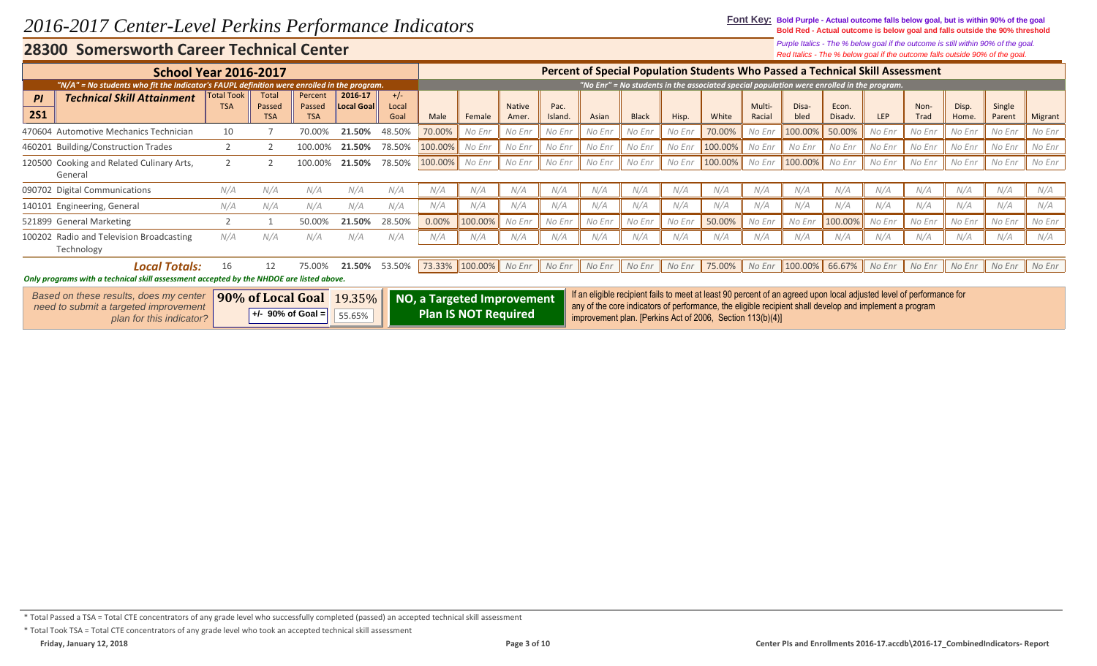**Font Key: Bold Purple - Actual outcome falls below goal, but is within 90% of the goal Bold Red - Actual outcome is below goal and falls outside the 90% threshold**

> *Red Italics - The % below goal if the outcome falls outside 90% of the goal. Purple Italics - The % below goal if the outcome is still within 90% of the goal.*

|            | <b>School Year 2016-2017</b>                                                               |                                 |                        |                   |                              |                |                            |                |               |        |        |              |        | Percent of Special Population Students Who Passed a Technical Skill Assessment                                                                                                                                                  |        |                            |         |        |        |        |          |         |
|------------|--------------------------------------------------------------------------------------------|---------------------------------|------------------------|-------------------|------------------------------|----------------|----------------------------|----------------|---------------|--------|--------|--------------|--------|---------------------------------------------------------------------------------------------------------------------------------------------------------------------------------------------------------------------------------|--------|----------------------------|---------|--------|--------|--------|----------|---------|
|            | "N/A" = No students who fit the Indicator's FAUPL definition were enrolled in the program. |                                 |                        |                   |                              |                |                            |                |               |        |        |              |        | "No Enr" = No students in the associated special population were enrolled in the program.                                                                                                                                       |        |                            |         |        |        |        |          |         |
| PI         | <b>Technical Skill Attainment</b>                                                          | <b>Total Took</b><br><b>TSA</b> | <b>Total</b><br>Passed | Percent<br>Passed | 2016-17<br><b>Local Goal</b> | $+/-$<br>Local |                            |                | <b>Native</b> | Pac.   |        |              |        |                                                                                                                                                                                                                                 | Multi- | Disa-                      | Econ.   |        | Non-   | Disp.  | Single   |         |
| <b>2S1</b> |                                                                                            |                                 | <b>TSA</b>             | <b>TSA</b>        |                              | Goal           | Male                       | Female         | Amer.         | Island | Asian  | <b>Black</b> | Hisp.  | White                                                                                                                                                                                                                           | Racial | bled                       | Disadv. | LEP    | Trad   | Home.  | Parent   | Migrant |
|            | 470604 Automotive Mechanics Technician                                                     | 10                              |                        | 70.00%            | 21.50%                       | 48.50%         | 70.00%                     | No Enr         | No Enr        | No Enr | No Enr | No Enr       | No Enr | 70.00%                                                                                                                                                                                                                          | No Enr | 100.00%                    | 50.00%  | No Enr | No Enr | No Enr | No Enr   | No Enr  |
|            | 460201 Building/Construction Trades                                                        |                                 |                        | 100.00%           | 21.50%                       | 78.50%         | 100.00%                    | No Enr         | No Enr        | No Enr | No Enr | No Enr       | No Enr | 100.00%                                                                                                                                                                                                                         | No Enr | No Enr                     | No Enr  | No Enr | No Enr | No Enr | No Enr   | No Enr  |
|            | 120500 Cooking and Related Culinary Arts,                                                  |                                 |                        | 100.00%           | 21.50%                       | 78.50%         | 100.00%                    | No Enr         | No Enr        | No Enr | No Enr | No Enr       | No Enr | 100.00%                                                                                                                                                                                                                         | No Enr | 100.00%                    | No Enr  | No Enr | No Enr | No Enr | No Enr   | No Enr  |
|            | General                                                                                    |                                 |                        |                   |                              |                |                            |                |               |        |        |              |        |                                                                                                                                                                                                                                 |        |                            |         |        |        |        |          |         |
|            | 090702 Digital Communications                                                              | N/A                             | N/A                    | N/A               | N/A                          | N/A            | N/A                        | N/A            | N/A           | N/A    | N/A    | N/A          | N/A    | N/A                                                                                                                                                                                                                             | N/A    | N/A                        | N/A     | N/A    | N/A    | N/A    | N/A      | N/A     |
|            | 140101 Engineering, General                                                                | N/A                             | N/A                    | N/A               | N/A                          | N/A            | N/A                        | N/A            | N/A           | N/A    | N/A    | N/A          | N/A    | N/A                                                                                                                                                                                                                             | N/A    | N/A                        | N/A     | N/A    | N/A    | N/A    | N/A      | N/A     |
|            | 521899 General Marketing                                                                   |                                 |                        | 50.00%            | 21.50%                       | 28.50%         | 0.00%                      | 100.00%        | No Enr        | No Enr | No Enr | No Enr       | No Enr | 50.00%                                                                                                                                                                                                                          | No Enr | No Enr                     | 100.00% | No Enr | No Enr | No Enr | No Enr   | No Enr  |
|            | 100202 Radio and Television Broadcasting                                                   | N/A                             | N/A                    | N/A               | N/A                          | N/A            | N/A                        | N/A            | N/A           | N/A    | N/A    | N/A          | N/A    | N/A                                                                                                                                                                                                                             | N/A    | N/A                        | N/A     | N/A    | N/A    | N/A    | N/A      | N/A     |
|            | Technology                                                                                 |                                 |                        |                   |                              |                |                            |                |               |        |        |              |        |                                                                                                                                                                                                                                 |        |                            |         |        |        |        |          |         |
|            | <b>Local Totals:</b>                                                                       | 16                              |                        | 75.00%            | 21.50%                       | 53.50%         |                            | 73.33% 100.00% | No Enr        | No Enr | No Enr | No Enr       | No Enr | 75.00%                                                                                                                                                                                                                          | No Enr | $\parallel$ 100.00% 66.67% |         | No Enr | No Enr | No Enr | $No$ Enr | No Enr  |
|            | Only programs with a technical skill assessment accepted by the NHDOE are listed above.    |                                 |                        |                   |                              |                |                            |                |               |        |        |              |        |                                                                                                                                                                                                                                 |        |                            |         |        |        |        |          |         |
|            | Based on these results, does my center<br>need to submit a targeted improvement            |                                 |                        | 90% of Local Goal | $19.35\%$                    |                | NO, a Targeted Improvement |                |               |        |        |              |        | If an eligible recipient fails to meet at least 90 percent of an agreed upon local adjusted level of performance for<br>any of the core indicators of performance, the eligible recipient shall develop and implement a program |        |                            |         |        |        |        |          |         |

| <b>90% of Local Goal</b> 19.35% <b>NO, a Targeted Improvement</b> If an engine recipient rans to meet at least so percent of an agreed upon local adjusted level or performance for                                                                                                                            |  |
|----------------------------------------------------------------------------------------------------------------------------------------------------------------------------------------------------------------------------------------------------------------------------------------------------------------|--|
| all any of the core indicators of performance, the eligible recipient shall develop and implement a program<br>need to submit a targeted improvement<br><b>Plan IS NOT Required</b><br>$+/-$ 90% of Goal = $55.65\%$<br>improvement plan. [Perkins Act of 2006, Section 113(b)(4)]<br>plan for this indicator? |  |

### \* Total Passed a TSA = Total CTE concentrators of any grade level who successfully completed (passed) an accepted technical skill assessment

\* Total Took TSA = Total CTE concentrators of any grade level who took an accepted technical skill assessment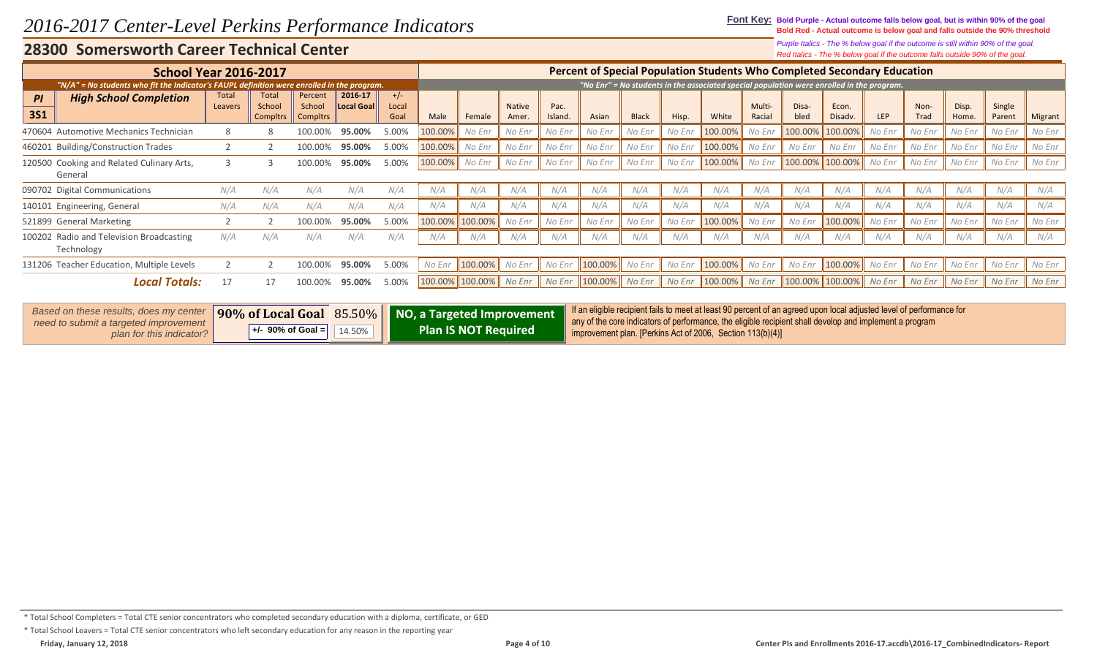**Font Key: Bold Purple - Actual outcome falls below goal, but is within 90% of the goal Bold Red - Actual outcome is below goal and falls outside the 90% threshold**

*Red Italics - The % below goal if the outcome falls outside 90% of the goal. Purple Italics - The % below goal if the outcome is still within 90% of the goal.*

| <b>School Year 2016-2017</b>                                                               |                  |                                    |                                      |                       |                        |         |         |                        |                |         |              |        | Percent of Special Population Students Who Completed Secondary Education                  |                  |               |                  |            |              |                |                  |         |
|--------------------------------------------------------------------------------------------|------------------|------------------------------------|--------------------------------------|-----------------------|------------------------|---------|---------|------------------------|----------------|---------|--------------|--------|-------------------------------------------------------------------------------------------|------------------|---------------|------------------|------------|--------------|----------------|------------------|---------|
| "N/A" = No students who fit the Indicator's FAUPL definition were enrolled in the program. |                  |                                    |                                      |                       |                        |         |         |                        |                |         |              |        | "No Enr" = No students in the associated special population were enrolled in the program. |                  |               |                  |            |              |                |                  |         |
| <b>High School Completion</b><br>PI<br><b>3S1</b>                                          | Total<br>Leavers | Total<br>School<br><b>Compltrs</b> | Percent<br>School<br><b>Compltrs</b> | 2016-17<br>Local Goal | $+/-$<br>Local<br>Goal | Male    | Female  | <b>Native</b><br>Amer. | Pac.<br>Island | Asian   | <b>Black</b> | Hisp.  | White                                                                                     | Multi-<br>Racial | Disa-<br>bled | Econ.<br>Disadv. | <b>LEP</b> | Non-<br>Trad | Disp.<br>Home. | Single<br>Parent | Migrant |
| 470604 Automotive Mechanics Technician                                                     |                  |                                    |                                      | 95.00%                | 5.00%                  | 100.00% | No Enr  | No Enr                 | No Enr         | No Enr  | No Enr       | No Enr | 100.00%                                                                                   | No Enr           | 100.00%       | 100.00%          | No Enr     | No Enr       | No Enr         | No Enr           | No Enr  |
| 460201 Building/Construction Trades                                                        |                  |                                    |                                      | 95.00%                | 5.00%                  | 100.00% | No Enr  | No Enr                 | No Enr         | No Enr  | No Enr       | No Enr | 100.00%                                                                                   | No Enr           | No Enr        | No Enr           | No Enr     | No Enr       | No Enr         | No Enr           | No Enr  |
| 120500 Cooking and Related Culinary Arts,<br>General                                       |                  |                                    |                                      | 95.00%                | 5.00%                  | 100.00% | No Enr  | No Enr                 | No Enr         | No Enr  | No Enr       | No Enr | 100.00%                                                                                   | No Enr           | 100.00%       | 100.00%          | No Enr     | No Enr       | No Enr         | No Enr           | No Enr  |
| 090702 Digital Communications                                                              | N/A              | N/A                                | N/A                                  | N/A                   | N/A                    | N/A     | N/A     | N/A                    | N/A            | N/A     | N/A          | N/A    | N/A                                                                                       | N/A              | N/A           | N/A              | N/A        | N/A          | N/A            | N/A              | N/A     |
| 140101 Engineering, General                                                                | N/A              | N/A                                |                                      | N/A                   | N/A                    | N/A     | N/A     | N/A                    | N/A            | N/A     | N/A          | N/A    | N/A                                                                                       | N/A              | N/A           | N/A              | N/A        | N/A          | N/A            | N/A              | N/A     |
| 521899 General Marketing                                                                   |                  |                                    |                                      | 95.00%                | 5.00%                  | 100.00% | 100.00% | No Enr                 | No Enr         | No Enr  | No Enr       | No Enr | 100.00%                                                                                   | No Enr           | No Enr        | 100.00%          | No Enr     | No Enr       | No Enr         | No Enr           | No Enr  |
| 100202 Radio and Television Broadcasting<br>Technology                                     | N/A              | N/A                                | N/A                                  | N/A                   | N/A                    | N/A     | N/A     | N/A                    | N/A            | N/A     | N/A          | N/A    | N/A                                                                                       | N/A              | N/A           | N/A              | N/A        | N/A          | N/A            | N/A              | N/A     |
| 131206 Teacher Education, Multiple Levels                                                  |                  |                                    | 100.00%                              | 95.00%                | 5.00%                  | No Enr  | 100.00% | No Enr                 | No Enr         | 100.00% | No Enr       | No Enr | $100.00\%$                                                                                | No Enr           | No Enr        | 100.00%          | No Enr     | No Enr       | No Enr         | No Enr           | No Enr  |
| <b>Local Totals:</b>                                                                       | 17               | 17                                 |                                      | 95.00%                | 5.00%                  | 100.00% | 100.00% | No Enr                 | No Enr         | 100.00% | No Enr       | No Enr | $100.00\%$                                                                                | No Enr           |               | 100.00% 100.00%  | No Enr     | No Enr       | No Enr         | No Enr           | No Enr  |

| <b>Based on these results, does my center</b><br>need to submit a targeted improvement |                     |        | 90% of Local Goal 85.50% NO, a Targeted Improvement | If an eligible recipient fails to meet at least 90 percent of an agreed upon local adjusted level of performance for<br>any of the core indicators of performance, the eligible recipient shall develop and implement a program |
|----------------------------------------------------------------------------------------|---------------------|--------|-----------------------------------------------------|---------------------------------------------------------------------------------------------------------------------------------------------------------------------------------------------------------------------------------|
| plan for this indicator?                                                               | $+/-$ 90% of Goal = | 14.50% | <b>Plan IS NOT Required</b>                         | improvement plan. [Perkins Act of 2006, Section 113(b)(4)]                                                                                                                                                                      |

### \* Total School Completers = Total CTE senior concentrators who completed secondary education with a diploma, certificate, or GED

\* Total School Leavers = Total CTE senior concentrators who left secondary education for any reason in the reporting year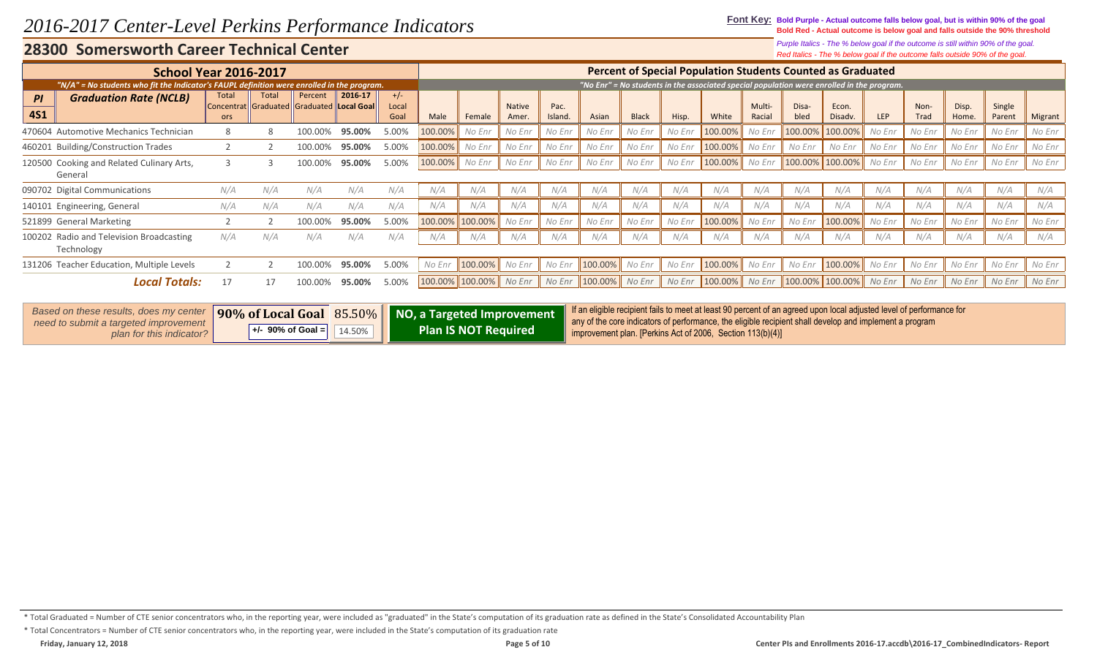#### **Font Key: Bold Purple - Actual outcome falls below goal, but is within 90% of the goal Bold Red - Actual outcome is below goal and falls outside the 90% threshold**

*Red Italics - The % below goal if the outcome falls outside 90% of the goal. Purple Italics - The % below goal if the outcome is still within 90% of the goal.*

| <b>School Year 2016-2017</b>                                                               |                     |              |                                                      |         |                        |         |         |                       |                 |         |              |        | <b>Percent of Special Population Students Counted as Graduated</b>                        |                  |               |                  |        |              |                |                  |         |
|--------------------------------------------------------------------------------------------|---------------------|--------------|------------------------------------------------------|---------|------------------------|---------|---------|-----------------------|-----------------|---------|--------------|--------|-------------------------------------------------------------------------------------------|------------------|---------------|------------------|--------|--------------|----------------|------------------|---------|
| "N/A" = No students who fit the Indicator's FAUPL definition were enrolled in the program. |                     |              |                                                      |         |                        |         |         |                       |                 |         |              |        | "No Enr" = No students in the associated special population were enrolled in the program. |                  |               |                  |        |              |                |                  |         |
| <b>Graduation Rate (NCLB)</b><br>PI<br><b>4S1</b>                                          | Total<br><b>ors</b> | <b>Total</b> | Percent<br>Concentrat Graduated Graduated Local Goal | 2016 17 | $+/-$<br>Local<br>Goal | Male    | Female  | <b>Native</b><br>Amer | Pac.<br>Island. | Asian   | <b>Black</b> | Hisp.  | White                                                                                     | Multi-<br>Racial | Disa-<br>bled | Econ.<br>Disadv. | LEP    | Non-<br>Trad | Disp.<br>Home. | Single<br>Parent | Migrant |
| 470604 Automotive Mechanics Technician                                                     | 8                   |              | 100.00%                                              | 95.00%  | 5.00%                  | 100.00% | No Enr  | No Enr                | No Enr          | No Enr  | No Enr       | No Enr | 100.00%                                                                                   | No Enr           | 100.00%       | 100.00%          | No Enr | No Enr       | No Enr         | No Enr           | No Enr  |
| 460201 Building/Construction Trades                                                        |                     |              | 100.00%                                              | 95.00%  | 5.00%                  | 100.00% | No Enr  | No Enr                | No Enr          | No Enr  | No Enr       | No Enr | 100.00%                                                                                   | No Enr           | No Enr        | No Enr           | No Enr | No Enr       | No Enr         | No Enr           | No Enr  |
| 120500 Cooking and Related Culinary Arts,<br>General                                       |                     |              | 100.00%                                              | 95.00%  | 5.00%                  | 100.00% | No Enr  | No Enr                | No Enr          | No Enr  | No Enr       | No Enr | 100.00%                                                                                   | No Enr           | 100.00%       | 100.00%          | No Enr | No Enr       | No Enr         | No Enr           | No Enr  |
| 090702 Digital Communications                                                              | N/A                 | N/A          | N/A                                                  | N/A     | N/A                    | N/A     | N/A     | N/A                   | N/A             | N/A     | N/A          | N/A    | N/A                                                                                       | N/A              | N/A           | N/A              | N/A    | N/A          | N/A            | N/A              | N/A     |
| 140101 Engineering, General                                                                | N/A                 | N/A          | N/A                                                  | N/A     | N/A                    | N/A     | N/A     | N/A                   | N/A             | N/A     | N/A          | N/A    | N/A                                                                                       | N/A              | N/A           | N/A              | N/A    | N/A          | N/A            | N/A              | N/A     |
| 521899 General Marketing                                                                   |                     |              | 100.00%                                              | 95.00%  | 5.00%                  | 100.00% | 100.00% | No Enr                | No Enr          | No Enr  | No Enr       | No Enr | 100.00%                                                                                   | No Enr           | No Enr        | 100.00%          | No Enr | No Enr       | No Enr         | No Enr           | No Enr  |
| 100202 Radio and Television Broadcasting<br>Technology                                     | N/A                 | N/A          | N/A                                                  | N/A     | N/A                    | N/A     | N/A     | N/A                   | N/A             | N/A     | N/A          | N/A    | N/A                                                                                       | N/A              | N/A           | N/A              | N/A    | N/A          | N/A            | N/A              | N/A     |
| 131206 Teacher Education, Multiple Levels                                                  |                     |              | 100.00%                                              | 95.00%  | 5.00%                  | No Enr  | 100.00% | No Enr                | No Enr          | 100.00% | No Enr       | No Enr | 100.00%                                                                                   | No Enr           | No Enr        | 100.00%          | No Enr | No Enr       | No Enr         | No Enr           | No Enr  |
| <b>Local Totals:</b>                                                                       | 17                  |              |                                                      | 95.00%  | 5.00%                  | 100.00% | 100.00% | No Enr                | No Enr          | 100.00% | No Enr       | No Enr | 100.00%                                                                                   | No Enr           | 100.00%       | 100.00%          | No Enr | No Enr       | No Enr         | No Enr           | No Enr  |

| <b>Based on these results, does my center</b><br>need to submit a targeted improvement |                       |        | 190% of Local Goal 85.50% NO, a Targeted Improvement | If an eligible recipient fails to meet at least 90 percent of an agreed upon local adjusted level of performance for<br>any of the core indicators of performance, the eligible recipient shall develop and implement a program |
|----------------------------------------------------------------------------------------|-----------------------|--------|------------------------------------------------------|---------------------------------------------------------------------------------------------------------------------------------------------------------------------------------------------------------------------------------|
| plan for this indicator?                                                               | $+/-$ 90% of Goal $=$ | 14.50% | <b>Plan IS NOT Required</b>                          | improvement plan. [Perkins Act of 2006, Section 113(b)(4)]                                                                                                                                                                      |

<sup>\*</sup> Total Graduated = Number of CTE senior concentrators who, in the reporting year, were included as "graduated" in the State's computation of its graduation rate as defined in the State's Consolidated Accountability Plan

<sup>\*</sup> Total Concentrators = Number of CTE senior concentrators who, in the reporting year, were included in the State's computation of its graduation rate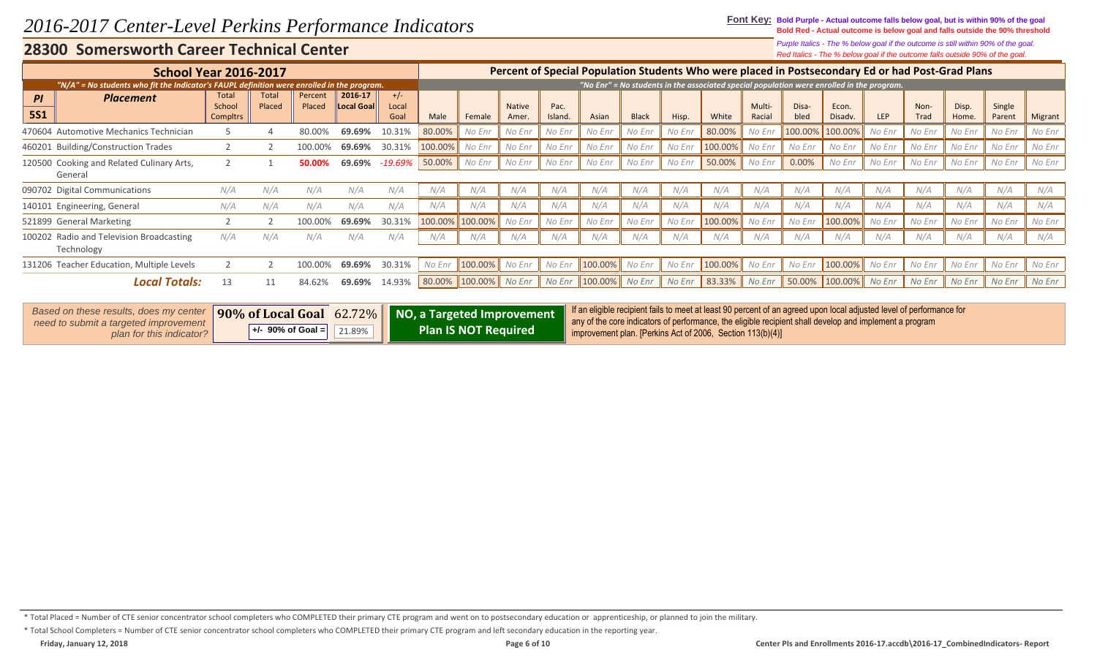**Font Key: Bold Purple - Actual outcome falls below goal, but is within 90% of the goal Bold Red - Actual outcome is below goal and falls outside the 90% threshold**

> *Red Italics - The % below goal if the outcome falls outside 90% of the goal. Purple Italics - The % below goal if the outcome is still within 90% of the goal.*

| <b>School Year 2016-2017</b>                                                               |                                    |                        |                   |                              |                        |         |         |                       |                 |         |              |        | Percent of Special Population Students Who were placed in Postsecondary Ed or had Post-Grad Plans |                  |               |                  |        |                     |                |                  |         |
|--------------------------------------------------------------------------------------------|------------------------------------|------------------------|-------------------|------------------------------|------------------------|---------|---------|-----------------------|-----------------|---------|--------------|--------|---------------------------------------------------------------------------------------------------|------------------|---------------|------------------|--------|---------------------|----------------|------------------|---------|
| "N/A" = No students who fit the Indicator's FAUPL definition were enrolled in the program. |                                    |                        |                   |                              |                        |         |         |                       |                 |         |              |        | "No Enr" = No students in the associated special population were enrolled in the program.         |                  |               |                  |        |                     |                |                  |         |
| <b>Placement</b><br>PI<br><b>5S1</b>                                                       | <b>Total</b><br>School<br>Compltrs | <b>Total</b><br>Placed | Percent<br>Placed | 2016-17<br><b>Local Goal</b> | $+/-$<br>Local<br>Goal | Male    | Female  | <b>Native</b><br>Amer | Pac.<br>Island. | Asian   | <b>Black</b> | Hisp.  | White                                                                                             | Multi-<br>Racial | Disa-<br>bled | Econ.<br>Disadv. | LEP    | Non-<br><b>Trad</b> | Disp.<br>Home. | Single<br>Parent | Migrant |
| 470604 Automotive Mechanics Technician                                                     |                                    |                        | 80.00%            | 69.69%                       | 10.31%                 | 80.00%  | No Enr  | No Enr                | No Enr          | No Enr  | No Enr       | No Enr | 80.00%                                                                                            | No Enr           | 100.00%       | 100.00%          | No Enr | No Enr              | No Enr         | No Enr           | No Enr  |
| 460201 Building/Construction Trades                                                        |                                    |                        |                   | 69.69%                       | 30.31%                 | 100.00% | No Enr  | No Enr                | No Enr          | No Enr  | No Enr       | No Enr | 100.00%                                                                                           | No Enr           | No Enr        | No Enr           | No Enr | No Enr              | No Enr         | No Enr           | No Enr  |
| 120500 Cooking and Related Culinary Arts,<br>General                                       |                                    |                        | 50.00%            | 69.69%                       | -19.69%                | 50.00%  | No Enr  | No Enr                | No Enr          | No Enr  | No Enr       | No Enr | 50.00%                                                                                            | No Enr           | 0.00%         | No Enr           | No Enr | No Enr              | No Enr         | No Enr           | No Enr  |
| 090702 Digital Communications                                                              | N/A                                | N/A                    | N/A               | N/A                          | N/A                    | N/A     | N/A     | N/A                   | N/A             | N/A     | N/A          | N/A    | N/A                                                                                               | N/A              | N/A           | N/A              | N/A    | N/A                 | N/A            | N/A              | N/A     |
| 140101 Engineering, General                                                                | N/A                                | N/A                    | N/A               | N/A                          | N/A                    | N/A     | N/A     | N/A                   | N/A             | N/A     | N/A          | N/A    | N/A                                                                                               | N/A              | N/A           | N/A              | N/A    | N/A                 | N/A            | N/A              | N/A     |
| 521899 General Marketing                                                                   |                                    |                        |                   | 69.69%                       | 30.31%                 | 100.00% | 100.00% | No Enr                | No Enr          | No Enr  | No Enr       | No Enr | 100.00%                                                                                           | No Enr           | No Enr        | 100.00%          | No Enr | No Enr              | No Enr         | No Enr           | No Enr  |
| 100202 Radio and Television Broadcasting<br>Technology                                     | N/A                                | N/A                    | N/A               | N/A                          | N/A                    | N/A     | N/A     | N/A                   | N/A             | N/A     | N/A          | N/A    | N/A                                                                                               | N/A              | N/A           | N/A              | N/A    | N/A                 | N/A            | N/A              | N/A     |
| 131206 Teacher Education, Multiple Levels                                                  |                                    |                        | 100.00%           | 69.69%                       | 30.31%                 | No Enr  | 100.00% | No Enr                | No Enr          | 100.00% | No Enr       | No Enr | 100.00%                                                                                           | No Enr           | No Enr        | 100.00%          | No Enr | No Enr              | No Enr         | No Enr           | No Enr  |
| <b>Local Totals:</b>                                                                       | 13                                 | 11                     | 84.62%            | 69.69%                       | 14.93%                 | 80.00%  | 100.00% | No Enr                | No Enr          | 100.00% | No Enr       | No Enr | 83.33%                                                                                            | No Enr           | 50.00%        | 100.00%          | No Enr | No Enr              | No Enr         | No Enr           | No Enr  |

| Based on these results, does my center<br>need to submit a targeted improvement |                       |        |                             | 190% of Local Goal 62.72% NO, a Targeted Improvement final eligible recipient fails to meet at least 90 percent of an agreed upon local adjusted level of performance for<br>$\parallel$ any of the core indicators of performance, the eligible recipient shall develop and implement a program |
|---------------------------------------------------------------------------------|-----------------------|--------|-----------------------------|--------------------------------------------------------------------------------------------------------------------------------------------------------------------------------------------------------------------------------------------------------------------------------------------------|
| plan for this indicator?                                                        | $+/-$ 90% of Goal $=$ | 21.89% | <b>Plan IS NOT Required</b> | improvement plan. [Perkins Act of 2006, Section 113(b)(4)]                                                                                                                                                                                                                                       |

\* Total Placed = Number of CTE senior concentrator school completers who COMPLETED their primary CTE program and went on to postsecondary education or apprenticeship, or planned to join the military.

\* Total School Completers = Number of CTE senior concentrator school completers who COMPLETED their primary CTE program and left secondary education in the reporting year.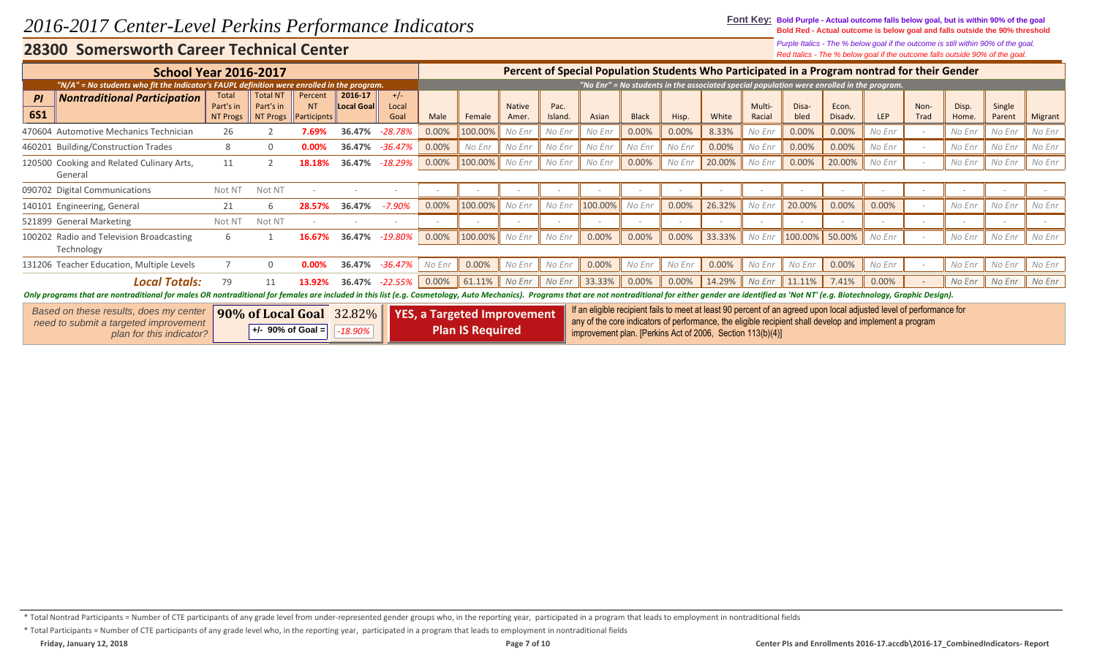**Font Key: Bold Purple - Actual outcome falls below goal, but is within 90% of the goal Bold Red - Actual outcome is below goal and falls outside the 90% threshold**

> *Red Italics - The % below goal if the outcome falls outside 90% of the goal. Purple Italics - The % below goal if the outcome is still within 90% of the goal.*

|                                                                                                                                                                                                                               |                                       |                                          |                               |                                 |                        |        |                                    |                        |                 |                                                                                                                                                                                                                                 |              |        |        |                  |                                                                                           |                  |        |                          | who would good is the catcomic rand catched cove of the good |                  |         |
|-------------------------------------------------------------------------------------------------------------------------------------------------------------------------------------------------------------------------------|---------------------------------------|------------------------------------------|-------------------------------|---------------------------------|------------------------|--------|------------------------------------|------------------------|-----------------|---------------------------------------------------------------------------------------------------------------------------------------------------------------------------------------------------------------------------------|--------------|--------|--------|------------------|-------------------------------------------------------------------------------------------|------------------|--------|--------------------------|--------------------------------------------------------------|------------------|---------|
| <b>School Year 2016-2017</b>                                                                                                                                                                                                  |                                       |                                          |                               |                                 |                        |        |                                    |                        |                 | Percent of Special Population Students Who Participated in a Program nontrad for their Gender                                                                                                                                   |              |        |        |                  |                                                                                           |                  |        |                          |                                                              |                  |         |
| "N/A" = No students who fit the Indicator's FAUPL definition were enrolled in the program.                                                                                                                                    |                                       |                                          |                               |                                 |                        |        |                                    |                        |                 |                                                                                                                                                                                                                                 |              |        |        |                  | "No Enr" = No students in the associated special population were enrolled in the program. |                  |        |                          |                                                              |                  |         |
| <b>Nontraditional Participation</b><br>PI<br><b>6S1</b>                                                                                                                                                                       | Total<br>Part's in<br><b>NT Progs</b> | <b>Total NT</b><br>Part's in<br>NT Progs | Percent<br>NT.<br>Participnts | 2016-17<br>Local Goal           | $+/-$<br>Local<br>Goal | Male   | Female                             | <b>Native</b><br>Amer. | Pac.<br>Island. | Asian                                                                                                                                                                                                                           | <b>Black</b> | Hisp.  | White  | Multi-<br>Racial | Disa-<br>bled                                                                             | Econ.<br>Disadv. | LEP    | Non-<br>Trad             | Disp.<br>Home.                                               | Single<br>Parent | Migrant |
| 470604 Automotive Mechanics Technician                                                                                                                                                                                        | 26                                    |                                          | 7.69%                         | 36.47%                          | $-28.78%$              | 0.00%  | 100.00%                            | No Enr                 | No Enr          | No Enr                                                                                                                                                                                                                          | 0.00%        | 0.00%  | 8.33%  | No Enr           | 0.00%                                                                                     | 0.00%            | No Enr | $\overline{\phantom{a}}$ | No Enr                                                       | No Enr           | No Enr  |
| 460201 Building/Construction Trades                                                                                                                                                                                           | 8                                     | $\Omega$                                 | 0.00%                         | 36.47%                          | -36.47%                | 0.00%  | No Enr                             | No Enr                 | No Enr          | No Enr                                                                                                                                                                                                                          | No Enr       | No Enr | 0.00%  | No Enr           | 0.00%                                                                                     | 0.00%            | No Enr | $\overline{\phantom{a}}$ | No Enr                                                       | No Enr           | No Enr  |
| 120500 Cooking and Related Culinary Arts,<br>General                                                                                                                                                                          | 11                                    |                                          | 18.18%                        | 36.47%                          | $-18.29%$              | 0.00%  | 100.00%                            | No Enr                 | No Enr          | No Enr                                                                                                                                                                                                                          | 0.00%        | No Enr | 20.00% | No Enr           | 0.00%                                                                                     | 20.00%           | No Enr |                          | No Enr                                                       | No Enr           | No Enr  |
| 090702 Digital Communications                                                                                                                                                                                                 | Not NT                                | Not NT                                   |                               |                                 |                        |        |                                    |                        |                 |                                                                                                                                                                                                                                 |              |        |        |                  |                                                                                           |                  |        |                          |                                                              |                  |         |
| 140101 Engineering, General                                                                                                                                                                                                   | 21                                    |                                          |                               | 36.47%                          | $-7.90\%$              | 0.00%  | 100.00%                            | No Enr                 | No Enr          | 100.00%                                                                                                                                                                                                                         | No Enr       | 0.00%  | 26.32% | No Enr           | 20.00%                                                                                    | 0.00%            | 0.00%  |                          | No Enr                                                       | No Enr           | No Enr  |
| 521899 General Marketing                                                                                                                                                                                                      | Not NT                                | Not NT                                   |                               |                                 |                        |        |                                    |                        |                 |                                                                                                                                                                                                                                 | $\sim$       |        |        |                  |                                                                                           |                  |        |                          | $\overline{\phantom{a}}$                                     | $\sim$           |         |
| 100202 Radio and Television Broadcasting<br>Technology                                                                                                                                                                        |                                       |                                          | 16.67%                        | 36.47%                          | -19.80%                | 0.00%  | 100.00%                            | No Enr                 | No Enr          | 0.00%                                                                                                                                                                                                                           | 0.00%        | 0.00%  | 33.33% | No Enr           | 100.00%                                                                                   | 50.00%           | No Enr |                          | No Enr                                                       | No Enr           | No Enr  |
| 131206 Teacher Education, Multiple Levels                                                                                                                                                                                     |                                       | $\Omega$                                 | 0.00%                         | 36.47%                          | -36.47%                | No Enr | 0.00%                              | No Enr                 | No Enr          | 0.00%                                                                                                                                                                                                                           | No Enr       | No Enr | 0.00%  | No Enr           | No Enr                                                                                    | 0.00%            | No Enr |                          | No Enr                                                       | No Enr           | No Enr  |
| <b>Local Totals:</b>                                                                                                                                                                                                          | 79                                    |                                          | 13.92%                        | 36.47%                          | $-22.55%$              | 0.00%  | 61.11%                             | No Enr                 | No Enr          | 33.33%                                                                                                                                                                                                                          | 0.00%        | 0.00%  | 14.29% | No Enr           | 11.11%                                                                                    | 7.41%            | 0.00%  |                          | No Enr                                                       | No Enr           | No Enr  |
| Only programs that are nontraditional for males OR nontraditional for females are included in this list (e.g. Cosmetology, Auto Mechanics). Programs that are not nontraditional for either gender are identified as 'Not NT' |                                       |                                          |                               |                                 |                        |        |                                    |                        |                 |                                                                                                                                                                                                                                 |              |        |        |                  |                                                                                           |                  |        |                          |                                                              |                  |         |
| Based on these results, does my center<br>need to submit a targeted improvement                                                                                                                                               |                                       |                                          |                               | <b>90% of Local Goal</b> 32.82% |                        |        | <b>YES, a Targeted Improvement</b> |                        |                 | If an eligible recipient fails to meet at least 90 percent of an agreed upon local adjusted level of performance for<br>any of the core indicators of performance, the eligible recipient shall develop and implement a program |              |        |        |                  |                                                                                           |                  |        |                          |                                                              |                  |         |
| plan for this indicator?                                                                                                                                                                                                      |                                       | $+/-$ 90% of Goal =                      |                               | $-18.90%$                       |                        |        | <b>Plan IS Required</b>            |                        |                 | improvement plan. [Perkins Act of 2006, Section 113(b)(4)]                                                                                                                                                                      |              |        |        |                  |                                                                                           |                  |        |                          |                                                              |                  |         |

\* Total Nontrad Participants = Number of CTE participants of any grade level from under-represented gender groups who, in the reporting year, participated in a program that leads to employment in nontraditional fields

\* Total Participants = Number of CTE participants of any grade level who, in the reporting year, participated in a program that leads to employment in nontraditional fields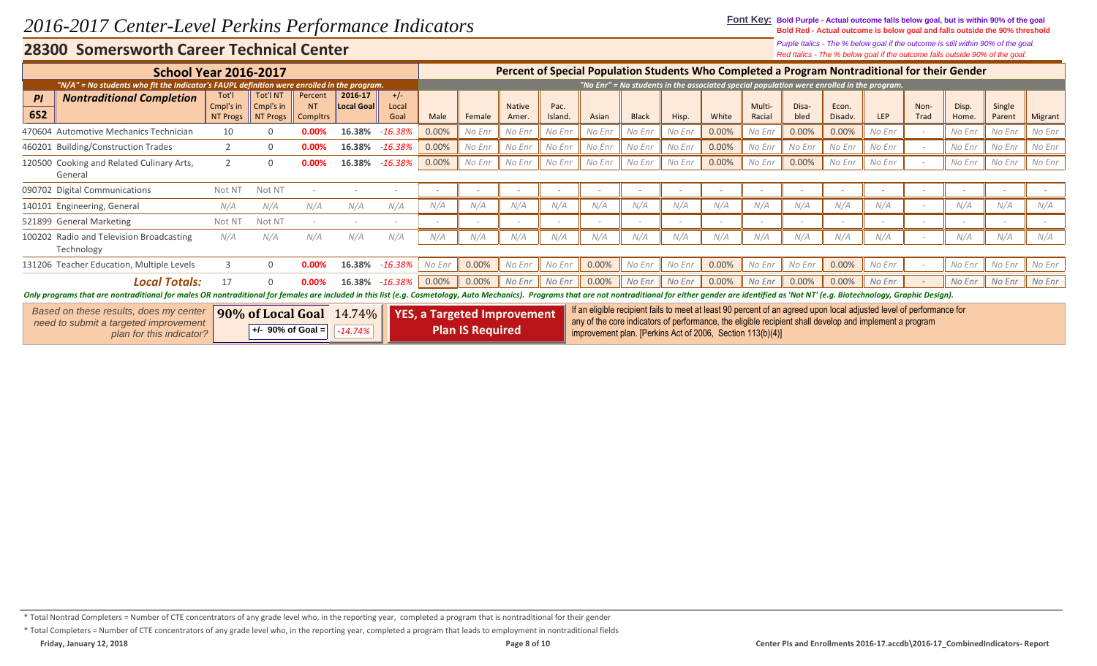**Font Key: Bold Purple - Actual outcome falls below goal, but is within 90% of the goal Bold Red - Actual outcome is below goal and falls outside the 90% threshold**

*Red Italics - The % below goal if the outcome falls outside 90% of the goal. Purple Italics - The % below goal if the outcome is still within 90% of the goal.*

|                                                                                                                                                                                                                               |                                       |                                          |                                   |                                                                |                        |        |                                                               |                        |                          |                                                            |                          |                          |                          |                  |               |                  |                                                                                                                                                                                                                                 |                          | ned nance the 70 below goal in the outcome hand outside 5070 or the goal.                      |                          |         |
|-------------------------------------------------------------------------------------------------------------------------------------------------------------------------------------------------------------------------------|---------------------------------------|------------------------------------------|-----------------------------------|----------------------------------------------------------------|------------------------|--------|---------------------------------------------------------------|------------------------|--------------------------|------------------------------------------------------------|--------------------------|--------------------------|--------------------------|------------------|---------------|------------------|---------------------------------------------------------------------------------------------------------------------------------------------------------------------------------------------------------------------------------|--------------------------|------------------------------------------------------------------------------------------------|--------------------------|---------|
| <b>School Year 2016-2017</b>                                                                                                                                                                                                  |                                       |                                          |                                   |                                                                |                        |        |                                                               |                        |                          |                                                            |                          |                          |                          |                  |               |                  |                                                                                                                                                                                                                                 |                          | Percent of Special Population Students Who Completed a Program Nontraditional for their Gender |                          |         |
| "N/A" = No students who fit the Indicator's FAUPL definition were enrolled in the program.                                                                                                                                    |                                       |                                          |                                   |                                                                |                        |        |                                                               |                        |                          |                                                            |                          |                          |                          |                  |               |                  | "No Enr" = No students in the associated special population were enrolled in the program.                                                                                                                                       |                          |                                                                                                |                          |         |
| <b>Nontraditional Completion</b><br>PI<br><b>6S2</b>                                                                                                                                                                          | Tot'l<br>Cmpl's in<br><b>NT Progs</b> | <b>Tot'l NT</b><br>Cmpl's in<br>NT Progs | Percent<br>NT.<br><b>Compltrs</b> | 2016-17<br><b>Local Goal</b>                                   | $+/-$<br>Local<br>Goal | Male   | Female                                                        | <b>Native</b><br>Amer. | Pac.<br>Island.          | Asian                                                      | <b>Black</b>             | Hisp.                    | White                    | Multi-<br>Racial | Disa-<br>bled | Econ.<br>Disadv. | <b>LEP</b>                                                                                                                                                                                                                      | Non-<br>Trad             | Disp.<br>Home.                                                                                 | Single<br>Parent         | Migrant |
| 470604 Automotive Mechanics Technician                                                                                                                                                                                        | 10                                    |                                          | 0.00%                             | 16.38%                                                         | $-16.38%$              | 0.00%  | No Enr                                                        | No Enr                 | No Enr                   | No Enr                                                     | No Enr                   | No Enr                   | 0.00%                    | No Enr           | 0.00%         | 0.00%            | No Enr                                                                                                                                                                                                                          |                          | No Enr                                                                                         | No Enr                   | No Enr  |
| 460201 Building/Construction Trades                                                                                                                                                                                           |                                       | $\Omega$                                 | 0.00%                             | 16.38%                                                         | $-16.38\%$             | 0.00%  | No Enr                                                        | No Enr                 | No Enr                   | No Enr                                                     | No Enr                   | No Enr                   | 0.00%                    | No Enr           | No Enr        | No Enr           | No Enr                                                                                                                                                                                                                          |                          | No Enr                                                                                         | No Enr                   | No Enr  |
| 120500 Cooking and Related Culinary Arts,<br>General                                                                                                                                                                          |                                       | $\Omega$                                 |                                   | 16.38%                                                         | $-16.38\%$             | 0.00%  | No Enr                                                        | No Enr                 | No Enr                   | No Enr                                                     | No Enr                   | No Enr                   | 0.00%                    | No Enr           | 0.00%         | No Enr           | No Enr                                                                                                                                                                                                                          |                          | No Enr                                                                                         | No Enr                   | No Enr  |
| 090702 Digital Communications                                                                                                                                                                                                 | Not NT                                | Not NT                                   |                                   |                                                                |                        |        | $\overline{\phantom{a}}$                                      |                        | $\overline{\phantom{a}}$ | $\sim$                                                     | $-$                      | $\overline{\phantom{a}}$ |                          |                  |               |                  |                                                                                                                                                                                                                                 |                          |                                                                                                |                          |         |
| 140101 Engineering, General                                                                                                                                                                                                   | N/A                                   | N/A                                      | N/A                               | N/A                                                            | N/A                    | N/A    | N/A                                                           | N/A                    | N/A                      | N/A                                                        | N/A                      | N/A                      | N/A                      | N/A              | N/A           | N/A              | N/A                                                                                                                                                                                                                             | $\overline{\phantom{a}}$ | N/A                                                                                            | N/A                      | N/A     |
| 521899 General Marketing                                                                                                                                                                                                      | Not NT                                | Not NT                                   |                                   |                                                                |                        |        |                                                               |                        | $\overline{\phantom{a}}$ | $\overline{\phantom{a}}$                                   | $\overline{\phantom{a}}$ | $\overline{\phantom{a}}$ | $\overline{\phantom{a}}$ |                  |               |                  |                                                                                                                                                                                                                                 |                          |                                                                                                | $\overline{\phantom{0}}$ |         |
| 100202 Radio and Television Broadcasting<br>Technology                                                                                                                                                                        | N/A                                   | N/A                                      | N/A                               | N/A                                                            | N/A                    | N/A    | N/A                                                           | N/A                    | N/A                      | N/A                                                        | N/A                      | N/A                      | N/A                      | N/A              | N/A           | N/A              | N/A                                                                                                                                                                                                                             |                          | N/A                                                                                            | N/A                      | N/A     |
| 131206 Teacher Education, Multiple Levels                                                                                                                                                                                     |                                       | $\Omega$                                 | $0.00\%$                          | 16.38%                                                         | $-16.38%$              | No Enr | 0.00%                                                         | No Enr                 | No Enr                   | 0.00%                                                      | No Enr                   | No Enr                   | 0.00%                    | No Enr           | No Enr        | 0.00%            | No Enr                                                                                                                                                                                                                          |                          | No Enr                                                                                         | No Enr                   | No Enr  |
| <b>Local Totals:</b>                                                                                                                                                                                                          | 17                                    |                                          | 0.00%                             | 16.38%                                                         | -16.38%                | 0.00%  | 0.00%                                                         | No Enr                 | No Enr                   | 0.00%                                                      | No Enr                   | No Enr                   | 0.00%                    | No Enr           | 0.00%         | 0.00%            | No Enr                                                                                                                                                                                                                          |                          | No Enr                                                                                         | No Enr                   | No Enr  |
| Only programs that are nontraditional for males OR nontraditional for females are included in this list (e.g. Cosmetology, Auto Mechanics). Programs that are not nontraditional for either gender are identified as 'Not NT' |                                       |                                          |                                   |                                                                |                        |        |                                                               |                        |                          |                                                            |                          |                          |                          |                  |               |                  |                                                                                                                                                                                                                                 |                          |                                                                                                |                          |         |
| Based on these results, does my center<br>need to submit a targeted improvement<br>plan for this indicator?                                                                                                                   |                                       |                                          | $+/-$ 90% of Goal =               | <b>90% of Local Goal</b> $\left[ 14.74\% \right]$<br>$-14.74%$ |                        |        | <b>YES, a Targeted Improvement</b><br><b>Plan IS Required</b> |                        |                          | improvement plan. [Perkins Act of 2006, Section 113(b)(4)] |                          |                          |                          |                  |               |                  | If an eligible recipient fails to meet at least 90 percent of an agreed upon local adjusted level of performance for<br>any of the core indicators of performance, the eligible recipient shall develop and implement a program |                          |                                                                                                |                          |         |

<sup>\*</sup> Total Nontrad Completers = Number of CTE concentrators of any grade level who, in the reporting year, completed a program that is nontraditional for their gender

<sup>\*</sup> Total Completers = Number of CTE concentrators of any grade level who, in the reporting year, completed a program that leads to employment in nontraditional fields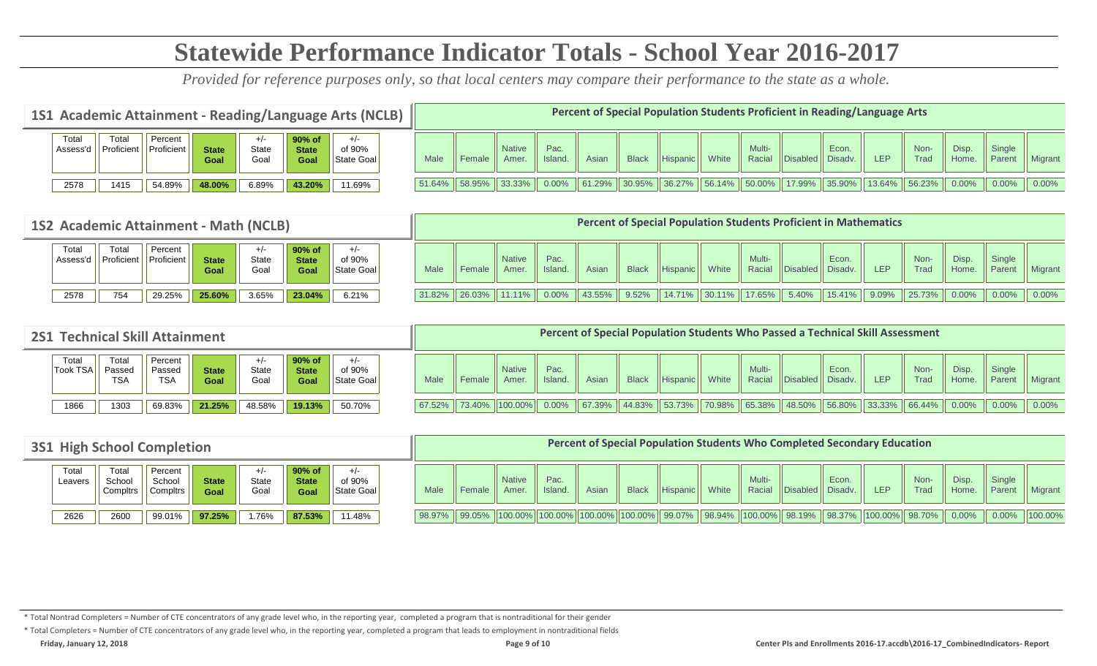# **Statewide Performance Indicator Totals - School Year 2016-2017**

*Provided for reference purposes only, so that local centers may compare their performance to the state as a whole.*

| 1S1 Academic Attainment - Reading/Language Arts (NCLB) |                     |                       |                      |               |                                |                      |               |        |                        |                |        |              |          |       |                                       |                  | Percent of Special Population Students Proficient in Reading/Language Arts |            |                  |                |                  |          |
|--------------------------------------------------------|---------------------|-----------------------|----------------------|---------------|--------------------------------|----------------------|---------------|--------|------------------------|----------------|--------|--------------|----------|-------|---------------------------------------|------------------|----------------------------------------------------------------------------|------------|------------------|----------------|------------------|----------|
| Total<br>Assess'd                                      | Total<br>Proficient | Percent<br>Proficient | <b>State</b><br>Goal | State<br>Goal | 90% of<br><b>State</b><br>Goal | of 90%<br>State Goal | Male          | Female | <b>Native</b><br>Amer. | Pac.<br>Island | Asiar  | <b>Black</b> | Hispanic | White | Multi-<br>Racial                      | <b>Disabled</b>  | Econ.<br>Disadv.                                                           | <b>LEP</b> | Non-<br>Trad     | Disp.<br>Home. | Single<br>Parent | Migrant  |
| 2578                                                   | 1415                | 54.89%                | 48.00%               | 6.89%         | 43.20%                         | 11.69%               | 51.64% 58.95% |        | $ 33.33\% $            | 0.00%          | 61.29% | 130.95%      | 36.27%   |       | $\parallel$ 56.14% $\parallel$ 50.00% | $17.99\%$ 35.90% |                                                                            | 13.64%     | $\sqrt{56.23\%}$ | $0.00\%$       | $0.00\%$         | $0.00\%$ |

|                   |                     | 1S2 Academic Attainment - Math (NCLB) |                      |                        |                                |                      |        |                    |                        |                |        |              |                 |        |        |                         | <b>Percent of Special Population Students Proficient in Mathematics</b> |                 |              |                |                         |          |
|-------------------|---------------------|---------------------------------------|----------------------|------------------------|--------------------------------|----------------------|--------|--------------------|------------------------|----------------|--------|--------------|-----------------|--------|--------|-------------------------|-------------------------------------------------------------------------|-----------------|--------------|----------------|-------------------------|----------|
| Total<br>Assess'd | Total<br>Proficient | Percent<br>Proficient                 | <b>State</b><br>Goal | $+/-$<br>State<br>Goal | 90% of<br><b>State</b><br>Goal | of 90%<br>State Goal | Male   | Female             | <b>Native</b><br>Amer. | Pac.<br>Island | Asian  | <b>Black</b> | <b>Hispanic</b> | White  | Multi- | Racial Disabled Disadv. | Econ.                                                                   | LEP <sup></sup> | Non-<br>Trad | Disp.<br>Home. | <b>Single</b><br>Parent | Migrant  |
| 2578              | 754                 | 29.25%                                | 25.60%               | 3.65%                  | 23.04%                         | 6.21%                | 31.82% | $\parallel$ 26.03% | 11.11%                 | $0.00\%$       | 43.55% | 9.52%        | 14.71%          | 30.11% | 17.65% | $5.40\%$                | 15.41%                                                                  | $9.09\%$ 25.73% |              | $0.00\%$ 0.00% |                         | $0.00\%$ |

| <b>2S1 Technical Skill Attainment</b> |                               |                                 |                      |               |                                |                               |        |                                        |                        |                 |        |              |                 |       |                  |                    | Percent of Special Population Students Who Passed a Technical Skill Assessment                                                |            |              |                      |                  |          |
|---------------------------------------|-------------------------------|---------------------------------|----------------------|---------------|--------------------------------|-------------------------------|--------|----------------------------------------|------------------------|-----------------|--------|--------------|-----------------|-------|------------------|--------------------|-------------------------------------------------------------------------------------------------------------------------------|------------|--------------|----------------------|------------------|----------|
| Total<br><b>Took TSA</b>              | Total<br>Passed<br><b>TSA</b> | Percent<br>Passed<br><b>TSA</b> | <b>State</b><br>Goal | State<br>Goal | 90% of<br><b>State</b><br>Goal | $+/-$<br>of 90%<br>State Goal | Male   | Female                                 | <b>Native</b><br>Amer. | Pac.<br>Island. | Asiar  | <b>Black</b> | <b>Hispanic</b> | White | Multi-<br>Racial | Disabled   Disadv. | Econ.                                                                                                                         | <b>LEP</b> | Non-<br>Trad | <b>Disp</b><br>Home. | Single<br>Parent | Migrant  |
| 1866                                  | 1303                          | 69.83%                          | 21.25%               | 48.58%        | 19.13%                         | 50.70%                        | 67.52% | $\parallel$ 73.40% $\parallel$ 100.00% |                        | $0.00\%$        | 67.39% | 44.83%       | $153.73\%$      |       |                  |                    | $\parallel$ 70.98% $\parallel$ 65.38% $\parallel$ 48.50% $\parallel$ 56.80% $\parallel$ 33.33% $\parallel$ 66.44% $\parallel$ |            |              | 0.00%                | $0.00\%$         | $0.00\%$ |

| <b>3S1 High School Completion</b> |                            |                               |                      |                                |                                   |                               |        |        |                       |                                                     |       | <b>Percent of Special Population Students Who Completed Secondary Education</b> |          |       |                  |                    |       |                  |              |                |                                     |                |
|-----------------------------------|----------------------------|-------------------------------|----------------------|--------------------------------|-----------------------------------|-------------------------------|--------|--------|-----------------------|-----------------------------------------------------|-------|---------------------------------------------------------------------------------|----------|-------|------------------|--------------------|-------|------------------|--------------|----------------|-------------------------------------|----------------|
| Total<br>Leavers                  | Tota<br>School<br>Compltrs | Percent<br>School<br>Compltrs | <b>State</b><br>Goal | $+$ / $\cdot$<br>State<br>Goal | $90\%$ of<br><b>State</b><br>Goal | $+/-$<br>of 90%<br>State Goal | Male   | Female | <b>Native</b><br>Amer | Pac.<br>Island.                                     | Asiar | <b>Black</b>                                                                    | Hispanic | White | Multi-<br>Racial | Disabled   Disadv. | Econ. | <b>LEP</b>       | Non-<br>Trad | Disp.<br>Home. | Single<br>Parent                    | <b>Migrant</b> |
| 2626                              | 2600                       | 99.01%                        | 97.25%               | 1.76%                          | 87.53%                            | 11.48%                        | 98.97% | 99.05% |                       | $\ 100.00\%$   100.00%   100.00%   100.00%   99.07% |       |                                                                                 |          |       |                  |                    |       | 100.00%   98.70% |              | $0.00\%$       | $\big  0.00\% \big  100.00\% \big $ |                |

\* Total Nontrad Completers = Number of CTE concentrators of any grade level who, in the reporting year, completed a program that is nontraditional for their gender

\* Total Completers = Number of CTE concentrators of any grade level who, in the reporting year, completed a program that leads to employment in nontraditional fields